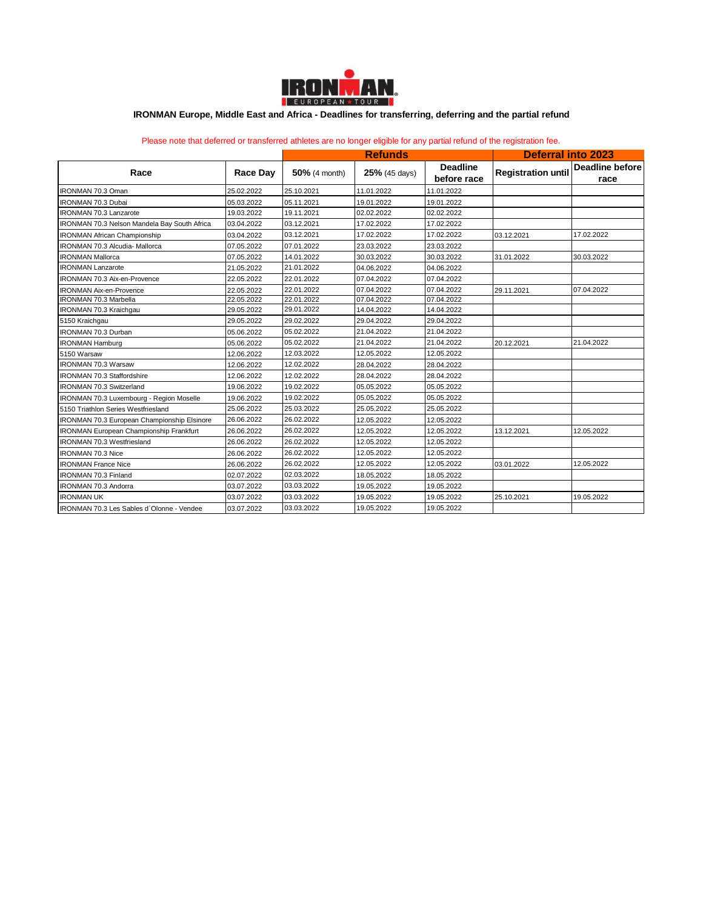

## **IRONMAN Europe, Middle East and Africa - Deadlines for transferring, deferring and the partial refund**

Please note that deferred or transferred athletes are no longer eligible for any partial refund of the registration fee.

| Race                                           | Race Day   | <b>Refunds</b> |                 |                                | <b>Deferral into 2023</b> |                                |
|------------------------------------------------|------------|----------------|-----------------|--------------------------------|---------------------------|--------------------------------|
|                                                |            | 50% (4 month)  | $25%$ (45 days) | <b>Deadline</b><br>before race | <b>Registration until</b> | <b>Deadline before</b><br>race |
| <b>IRONMAN 70.3 Oman</b>                       | 25.02.2022 | 25.10.2021     | 11.01.2022      | 11.01.2022                     |                           |                                |
| <b>IRONMAN 70.3 Dubai</b>                      | 05.03.2022 | 05.11.2021     | 19.01.2022      | 19.01.2022                     |                           |                                |
| <b>IRONMAN 70.3 Lanzarote</b>                  | 19.03.2022 | 19.11.2021     | 02.02.2022      | 02.02.2022                     |                           |                                |
| IRONMAN 70.3 Nelson Mandela Bay South Africa   | 03.04.2022 | 03.12.2021     | 17.02.2022      | 17.02.2022                     |                           |                                |
| <b>IRONMAN African Championship</b>            | 03.04.2022 | 03.12.2021     | 17.02.2022      | 17.02.2022                     | 03.12.2021                | 17.02.2022                     |
| IRONMAN 70.3 Alcudia- Mallorca                 | 07.05.2022 | 07.01.2022     | 23.03.2022      | 23.03.2022                     |                           |                                |
| <b>IRONMAN Mallorca</b>                        | 07.05.2022 | 14.01.2022     | 30.03.2022      | 30.03.2022                     | 31.01.2022                | 30.03.2022                     |
| <b>IRONMAN Lanzarote</b>                       | 21.05.2022 | 21.01.2022     | 04.06.2022      | 04.06.2022                     |                           |                                |
| IRONMAN 70.3 Aix-en-Provence                   | 22.05.2022 | 22.01.2022     | 07.04.2022      | 07.04.2022                     |                           |                                |
| <b>IRONMAN Aix-en-Provence</b>                 | 22.05.2022 | 22.01.2022     | 07.04.2022      | 07.04.2022                     | 29.11.2021                | 07.04.2022                     |
| <b>IRONMAN 70.3 Marbella</b>                   | 22.05.2022 | 22.01.2022     | 07.04.2022      | 07.04.2022                     |                           |                                |
| IRONMAN 70.3 Kraichgau                         | 29.05.2022 | 29.01.2022     | 14.04.2022      | 14.04.2022                     |                           |                                |
| 5150 Kraichgau                                 | 29.05.2022 | 29.02.2022     | 29.04.2022      | 29.04.2022                     |                           |                                |
| <b>IRONMAN 70.3 Durban</b>                     | 05.06.2022 | 05.02.2022     | 21.04.2022      | 21.04.2022                     |                           |                                |
| <b>IRONMAN Hamburg</b>                         | 05.06.2022 | 05.02.2022     | 21.04.2022      | 21.04.2022                     | 20.12.2021                | 21.04.2022                     |
| 5150 Warsaw                                    | 12.06.2022 | 12.03.2022     | 12.05.2022      | 12.05.2022                     |                           |                                |
| <b>IRONMAN 70.3 Warsaw</b>                     | 12.06.2022 | 12.02.2022     | 28.04.2022      | 28.04.2022                     |                           |                                |
| <b>IRONMAN 70.3 Staffordshire</b>              | 12.06.2022 | 12.02.2022     | 28.04.2022      | 28.04.2022                     |                           |                                |
| <b>IRONMAN 70.3 Switzerland</b>                | 19.06.2022 | 19.02.2022     | 05.05.2022      | 05.05.2022                     |                           |                                |
| IRONMAN 70.3 Luxembourg - Region Moselle       | 19.06.2022 | 19.02.2022     | 05.05.2022      | 05.05.2022                     |                           |                                |
| 5150 Triathlon Series Westfriesland            | 25.06.2022 | 25.03.2022     | 25.05.2022      | 25.05.2022                     |                           |                                |
| IRONMAN 70.3 European Championship Elsinore    | 26.06.2022 | 26.02.2022     | 12.05.2022      | 12.05.2022                     |                           |                                |
| <b>IRONMAN European Championship Frankfurt</b> | 26.06.2022 | 26.02.2022     | 12.05.2022      | 12.05.2022                     | 13.12.2021                | 12.05.2022                     |
| <b>IRONMAN 70.3 Westfriesland</b>              | 26.06.2022 | 26.02.2022     | 12.05.2022      | 12.05.2022                     |                           |                                |
| <b>IRONMAN 70.3 Nice</b>                       | 26.06.2022 | 26.02.2022     | 12.05.2022      | 12.05.2022                     |                           |                                |
| <b>IRONMAN France Nice</b>                     | 26.06.2022 | 26.02.2022     | 12.05.2022      | 12.05.2022                     | 03.01.2022                | 12.05.2022                     |
| <b>IRONMAN 70.3 Finland</b>                    | 02.07.2022 | 02.03.2022     | 18.05.2022      | 18.05.2022                     |                           |                                |
| IRONMAN 70.3 Andorra                           | 03.07.2022 | 03.03.2022     | 19.05.2022      | 19.05.2022                     |                           |                                |
| <b>IRONMAN UK</b>                              | 03.07.2022 | 03.03.2022     | 19.05.2022      | 19.05.2022                     | 25.10.2021                | 19.05.2022                     |
| IRONMAN 70.3 Les Sables d'Olonne - Vendee      | 03.07.2022 | 03.03.2022     | 19.05.2022      | 19.05.2022                     |                           |                                |